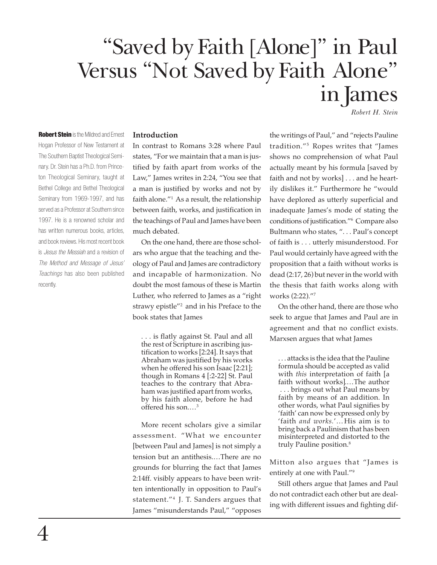# "Saved by Faith [Alone]" in Paul Versus "Not Saved by Faith Alone" in James

*Robert H. Stein*

**Robert Stein** is the Mildred and Ernest Hogan Professor of New Testament at The Southern Baptist Theological Seminary. Dr. Stein has a Ph.D. from Princeton Theological Seminary, taught at Bethel College and Bethel Theological Seminary from 1969-1997, and has served as a Professor at Southern since 1997. He is a renowned scholar and has written numerous books, articles, and book reviews. His most recent book is *Jesus the Messiah* and a revision of *The Method and Message of Jesus' Teachings* has also been published recently.

## **Introduction**

In contrast to Romans 3:28 where Paul states, "For we maintain that a man is justified by faith apart from works of the Law," James writes in 2:24, "You see that a man is justified by works and not by faith alone."1 As a result, the relationship between faith, works, and justification in the teachings of Paul and James have been much debated.

On the one hand, there are those scholars who argue that the teaching and theology of Paul and James are contradictory and incapable of harmonization. No doubt the most famous of these is Martin Luther, who referred to James as a "right strawy epistle"2 and in his Preface to the book states that James

. . . is flatly against St. Paul and all the rest of Scripture in ascribing justification to works [2:24]. It says that Abraham was justified by his works when he offered his son Isaac [2:21]; though in Romans 4 [:2-22] St. Paul teaches to the contrary that Abraham was justified apart from works, by his faith alone, before he had offered his son.…3

More recent scholars give a similar assessment. "What we encounter [between Paul and James] is not simply a tension but an antithesis.…There are no grounds for blurring the fact that James 2:14ff. visibly appears to have been written intentionally in opposition to Paul's statement."4 J. T. Sanders argues that James "misunderstands Paul," "opposes

the writings of Paul," and "rejects Pauline tradition."5 Ropes writes that "James shows no comprehension of what Paul actually meant by his formula [saved by faith and not by works] . . . and he heartily dislikes it." Furthermore he "would have deplored as utterly superficial and inadequate James's mode of stating the conditions of justification."6 Compare also Bultmann who states, ". . . Paul's concept of faith is . . . utterly misunderstood. For Paul would certainly have agreed with the proposition that a faith without works is dead (2:17, 26) but never in the world with the thesis that faith works along with works (2:22)."7

On the other hand, there are those who seek to argue that James and Paul are in agreement and that no conflict exists. Marxsen argues that what James

. . . attacks is the idea that the Pauline formula should be accepted as valid with *this* interpretation of faith [a faith without works].…The author . . . brings out what Paul means by faith by means of an addition. In other words, what Paul signifies by 'faith' can now be expressed only by 'faith *and works.*'…His aim is to bring back a Paulinism that has been misinterpreted and distorted to the truly Pauline position.<sup>8</sup>

Mitton also argues that "James is entirely at one with Paul."9

Still others argue that James and Paul do not contradict each other but are dealing with different issues and fighting dif-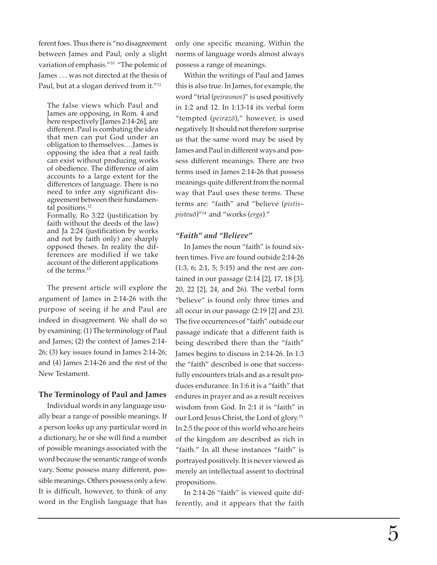ferent foes. Thus there is "no disagreement between James and Paul, only a slight variation of emphasis."10 "The polemic of James . . . was not directed at the thesis of Paul, but at a slogan derived from it."<sup>11</sup>

The false views which Paul and James are opposing, in Rom. 4 and here respectively [James 2:14-26], are different. Paul is combating the idea that men can put God under an obligation to themselves.…James is opposing the idea that a real faith can exist without producing works of obedience. The difference of aim accounts to a large extent for the differences of language. There is no need to infer any significant disagreement between their fundamental positions.<sup>12</sup>

Formally, Ro 3:22 (justification by faith without the deeds of the law) and Ja 2:24 (justification by works and not by faith only) are sharply opposed theses. In reality the differences are modified if we take account of the different applications of the terms.13

The present article will explore the argument of James in 2:14-26 with the purpose of seeing if he and Paul are indeed in disagreement. We shall do so by examining: (1) The terminology of Paul and James; (2) the context of James 2:14- 26; (3) key issues found in James 2:14-26; and (4) James 2:14-26 and the rest of the New Testament.

# **The Terminology of Paul and James**

Individual words in any language usually bear a range of possible meanings. If a person looks up any particular word in a dictionary, he or she will find a number of possible meanings associated with the word because the semantic range of words vary. Some possess many different, possible meanings. Others possess only a few. It is difficult, however, to think of any word in the English language that has

only one specific meaning. Within the norms of language words almost always possess a range of meanings.

Within the writings of Paul and James this is also true. In James, for example, the word "trial (*peirasmos*)" is used positively in 1:2 and 12. In 1:13-14 its verbal form "tempted (*peirazo*)," however, is used negatively. It should not therefore surprise us that the same word may be used by James and Paul in different ways and possess different meanings. There are two terms used in James 2:14-26 that possess meanings quite different from the normal way that Paul uses these terms. These terms are: "faith" and "believe (*pistis* – *pisteuo*)"14 and "works (*erga*)."

# *"Faith" and "Believe"*

In James the noun "faith" is found sixteen times. Five are found outside 2:14-26 (1:3, 6; 2:1, 5; 5:15) and the rest are contained in our passage (2:14 [2], 17, 18 [3], 20, 22 [2], 24, and 26). The verbal form "believe" is found only three times and all occur in our passage (2:19 [2] and 23). The five occurrences of "faith" outside our passage indicate that a different faith is being described there than the "faith" James begins to discuss in 2:14-26. In 1:3 the "faith" described is one that successfully encounters trials and as a result produces endurance. In 1:6 it is a "faith" that endures in prayer and as a result receives wisdom from God. In 2:1 it is "faith" in our Lord Jesus Christ, the Lord of glory.15 In 2:5 the poor of this world who are heirs of the kingdom are described as rich in "faith." In all these instances "faith" is portrayed positively. It is never viewed as merely an intellectual assent to doctrinal propositions.

In 2:14-26 "faith" is viewed quite differently, and it appears that the faith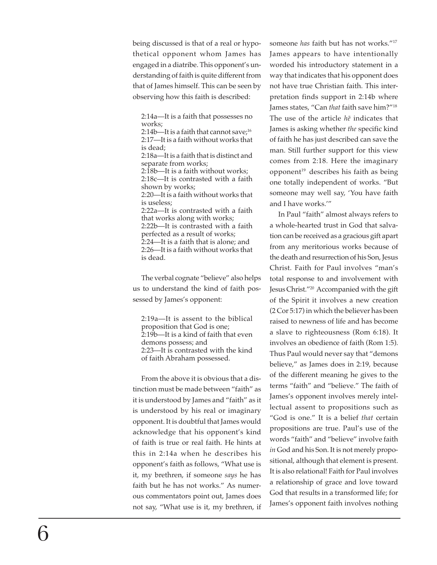being discussed is that of a real or hypothetical opponent whom James has engaged in a diatribe. This opponent's understanding of faith is quite different from that of James himself. This can be seen by observing how this faith is described:

2:14a—It is a faith that possesses no works;

2:14b—It is a faith that cannot save: $16$ 2:17—It is a faith without works that is dead; 2:18a—It is a faith that is distinct and separate from works; 2:18b—It is a faith without works; 2:18c—It is contrasted with a faith shown by works; 2:20—It is a faith without works that is useless; 2:22a—It is contrasted with a faith that works along with works; 2:22b—It is contrasted with a faith perfected as a result of works; 2:24—It is a faith that is alone; and 2:26—It is a faith without works that is dead.

The verbal cognate "believe" also helps us to understand the kind of faith possessed by James's opponent:

2:19a—It is assent to the biblical proposition that God is one; 2:19b—It is a kind of faith that even demons possess; and 2:23—It is contrasted with the kind of faith Abraham possessed.

From the above it is obvious that a distinction must be made between "faith" as it is understood by James and "faith" as it is understood by his real or imaginary opponent. It is doubtful that James would acknowledge that his opponent's kind of faith is true or real faith. He hints at this in 2:14a when he describes his opponent's faith as follows, "What use is it, my brethren, if someone *says* he has faith but he has not works." As numerous commentators point out, James does not say, "What use is it, my brethren, if someone *has* faith but has not works."17 James appears to have intentionally worded his introductory statement in a way that indicates that his opponent does not have true Christian faith. This interpretation finds support in 2:14b where James states, "Can *that* faith save him?"18 The use of the article *he* indicates that James is asking whether *the* specific kind of faith he has just described can save the man. Still further support for this view comes from 2:18. Here the imaginary opponent<sup>19</sup> describes his faith as being one totally independent of works. "But someone may well say, 'You have faith and I have works.'"

In Paul "faith" almost always refers to a whole-hearted trust in God that salvation can be received as a gracious gift apart from any meritorious works because of the death and resurrection of his Son, Jesus Christ. Faith for Paul involves "man's total response to and involvement with Jesus Christ."20 Accompanied with the gift of the Spirit it involves a new creation (2 Cor 5:17) in which the believer has been raised to newness of life and has become a slave to righteousness (Rom 6:18). It involves an obedience of faith (Rom 1:5). Thus Paul would never say that "demons believe," as James does in 2:19, because of the different meaning he gives to the terms "faith" and "believe." The faith of James's opponent involves merely intellectual assent to propositions such as "God is one." It is a belief *that* certain propositions are true. Paul's use of the words "faith" and "believe" involve faith *in* God and his Son. It is not merely propositional, although that element is present. It is also relational! Faith for Paul involves a relationship of grace and love toward God that results in a transformed life; for James's opponent faith involves nothing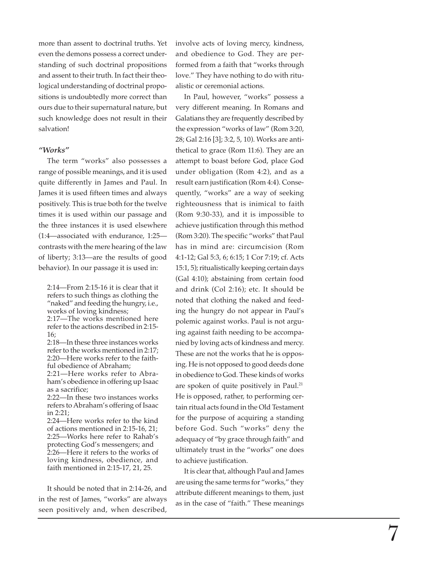more than assent to doctrinal truths. Yet even the demons possess a correct understanding of such doctrinal propositions and assent to their truth. In fact their theological understanding of doctrinal propositions is undoubtedly more correct than ours due to their supernatural nature, but such knowledge does not result in their salvation!

## *"Works"*

The term "works" also possesses a range of possible meanings, and it is used quite differently in James and Paul. In James it is used fifteen times and always positively. This is true both for the twelve times it is used within our passage and the three instances it is used elsewhere (1:4—associated with endurance, 1:25 contrasts with the mere hearing of the law of liberty; 3:13—are the results of good behavior). In our passage it is used in:

2:14—From 2:15-16 it is clear that it refers to such things as clothing the "naked" and feeding the hungry, i.e., works of loving kindness;

2:17—The works mentioned here refer to the actions described in 2:15- 16;

2:18—In these three instances works refer to the works mentioned in 2:17; 2:20—Here works refer to the faithful obedience of Abraham;

2:21—Here works refer to Abraham's obedience in offering up Isaac as a sacrifice;

2:22—In these two instances works refers to Abraham's offering of Isaac in 2:21;

2:24—Here works refer to the kind of actions mentioned in 2:15-16, 21; 2:25—Works here refer to Rahab's protecting God's messengers; and 2:26—Here it refers to the works of loving kindness, obedience, and faith mentioned in 2:15-17, 21, 25.

It should be noted that in 2:14-26, and in the rest of James, "works" are always seen positively and, when described, involve acts of loving mercy, kindness, and obedience to God. They are performed from a faith that "works through love." They have nothing to do with ritualistic or ceremonial actions.

In Paul, however, "works" possess a very different meaning. In Romans and Galatians they are frequently described by the expression "works of law" (Rom 3:20, 28; Gal 2:16 [3]; 3:2, 5, 10). Works are antithetical to grace (Rom 11:6). They are an attempt to boast before God, place God under obligation (Rom 4:2), and as a result earn justification (Rom 4:4). Consequently, "works" are a way of seeking righteousness that is inimical to faith (Rom 9:30-33), and it is impossible to achieve justification through this method (Rom 3:20). The specific "works" that Paul has in mind are: circumcision (Rom 4:1-12; Gal 5:3, 6; 6:15; 1 Cor 7:19; cf. Acts 15:1, 5); ritualistically keeping certain days (Gal 4:10); abstaining from certain food and drink (Col 2:16); etc. It should be noted that clothing the naked and feeding the hungry do not appear in Paul's polemic against works. Paul is not arguing against faith needing to be accompanied by loving acts of kindness and mercy. These are not the works that he is opposing. He is not opposed to good deeds done in obedience to God. These kinds of works are spoken of quite positively in Paul.<sup>21</sup> He is opposed, rather, to performing certain ritual acts found in the Old Testament for the purpose of acquiring a standing before God. Such "works" deny the adequacy of "by grace through faith" and ultimately trust in the "works" one does to achieve justification.

It is clear that, although Paul and James are using the same terms for "works," they attribute different meanings to them, just as in the case of "faith." These meanings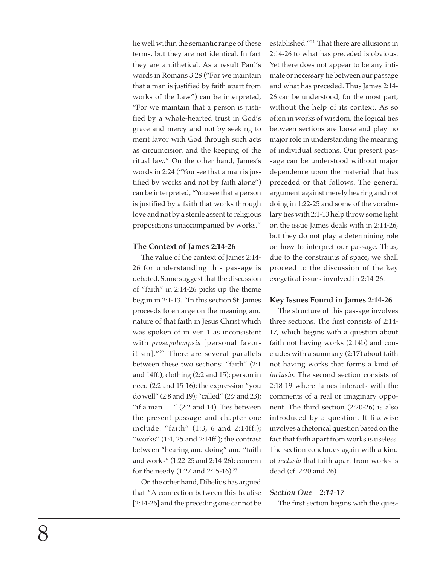lie well within the semantic range of these terms, but they are not identical. In fact they are antithetical. As a result Paul's words in Romans 3:28 ("For we maintain that a man is justified by faith apart from works of the Law") can be interpreted, "For we maintain that a person is justified by a whole-hearted trust in God's grace and mercy and not by seeking to merit favor with God through such acts as circumcision and the keeping of the ritual law." On the other hand, James's words in 2:24 ("You see that a man is justified by works and not by faith alone") can be interpreted, "You see that a person is justified by a faith that works through love and not by a sterile assent to religious propositions unaccompanied by works."

## **The Context of James 2:14-26**

The value of the context of James 2:14- 26 for understanding this passage is debated. Some suggest that the discussion of "faith" in 2:14-26 picks up the theme begun in 2:1-13. "In this section St. James proceeds to enlarge on the meaning and nature of that faith in Jesus Christ which was spoken of in ver. 1 as inconsistent with *prosopolempsia* [personal favoritism]."22 There are several parallels between these two sections: "faith" (2:1 and 14ff.); clothing (2:2 and 15); person in need (2:2 and 15-16); the expression "you do well" (2:8 and 19); "called" (2:7 and 23); "if a man  $\ldots$ " (2:2 and 14). Ties between the present passage and chapter one include: "faith" (1:3, 6 and 2:14ff.); "works" (1:4, 25 and 2:14ff.); the contrast between "hearing and doing" and "faith and works" (1:22-25 and 2:14-26); concern for the needy (1:27 and 2:15-16).23

On the other hand, Dibelius has argued that "A connection between this treatise [2:14-26] and the preceding one cannot be established."24 That there are allusions in 2:14-26 to what has preceded is obvious. Yet there does not appear to be any intimate or necessary tie between our passage and what has preceded. Thus James 2:14- 26 can be understood, for the most part, without the help of its context. As so often in works of wisdom, the logical ties between sections are loose and play no major role in understanding the meaning of individual sections. Our present passage can be understood without major dependence upon the material that has preceded or that follows. The general argument against merely hearing and not doing in 1:22-25 and some of the vocabulary ties with 2:1-13 help throw some light on the issue James deals with in 2:14-26, but they do not play a determining role on how to interpret our passage. Thus, due to the constraints of space, we shall proceed to the discussion of the key exegetical issues involved in 2:14-26.

#### **Key Issues Found in James 2:14-26**

The structure of this passage involves three sections. The first consists of 2:14- 17, which begins with a question about faith not having works (2:14b) and concludes with a summary (2:17) about faith not having works that forms a kind of *inclusio*. The second section consists of 2:18-19 where James interacts with the comments of a real or imaginary opponent. The third section (2:20-26) is also introduced by a question. It likewise involves a rhetorical question based on the fact that faith apart from works is useless. The section concludes again with a kind of *inclusio* that faith apart from works is dead (cf. 2:20 and 26).

#### *Section One—2:14-17*

The first section begins with the ques-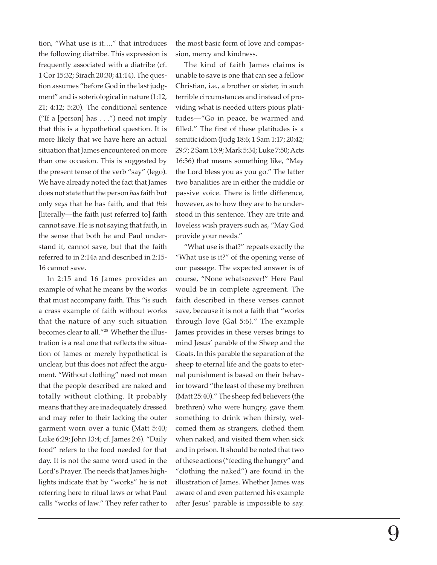tion, "What use is it…," that introduces the following diatribe. This expression is frequently associated with a diatribe (cf. 1 Cor 15:32; Sirach 20:30; 41:14). The question assumes "before God in the last judgment" and is soteriological in nature (1:12, 21; 4:12; 5:20). The conditional sentence ("If a [person] has . . .") need not imply that this is a hypothetical question. It is more likely that we have here an actual situation that James encountered on more than one occasion. This is suggested by the present tense of the verb "say" (lego). We have already noted the fact that James does not state that the person *has*faith but only *says* that he has faith, and that *this* [literally—the faith just referred to] faith cannot save. He is not saying that faith, in the sense that both he and Paul understand it, cannot save, but that the faith referred to in 2:14a and described in 2:15- 16 cannot save.

In 2:15 and 16 James provides an example of what he means by the works that must accompany faith. This "is such a crass example of faith without works that the nature of any such situation becomes clear to all."25 Whether the illustration is a real one that reflects the situation of James or merely hypothetical is unclear, but this does not affect the argument. "Without clothing" need not mean that the people described are naked and totally without clothing. It probably means that they are inadequately dressed and may refer to their lacking the outer garment worn over a tunic (Matt 5:40; Luke 6:29; John 13:4; cf. James 2:6). "Daily food" refers to the food needed for that day. It is not the same word used in the Lord's Prayer. The needs that James highlights indicate that by "works" he is not referring here to ritual laws or what Paul calls "works of law." They refer rather to

the most basic form of love and compassion, mercy and kindness.

The kind of faith James claims is unable to save is one that can see a fellow Christian, i.e., a brother or sister, in such terrible circumstances and instead of providing what is needed utters pious platitudes—"Go in peace, be warmed and filled." The first of these platitudes is a semitic idiom (Judg 18:6; 1 Sam 1:17; 20:42; 29:7; 2 Sam 15:9; Mark 5:34; Luke 7:50; Acts 16:36) that means something like, "May the Lord bless you as you go." The latter two banalities are in either the middle or passive voice. There is little difference, however, as to how they are to be understood in this sentence. They are trite and loveless wish prayers such as, "May God provide your needs."

"What use is that?" repeats exactly the "What use is it?" of the opening verse of our passage. The expected answer is of course, "None whatsoever!" Here Paul would be in complete agreement. The faith described in these verses cannot save, because it is not a faith that "works through love (Gal 5:6)." The example James provides in these verses brings to mind Jesus' parable of the Sheep and the Goats. In this parable the separation of the sheep to eternal life and the goats to eternal punishment is based on their behavior toward "the least of these my brethren (Matt 25:40)." The sheep fed believers (the brethren) who were hungry, gave them something to drink when thirsty, welcomed them as strangers, clothed them when naked, and visited them when sick and in prison. It should be noted that two of these actions ("feeding the hungry" and "clothing the naked") are found in the illustration of James. Whether James was aware of and even patterned his example after Jesus' parable is impossible to say.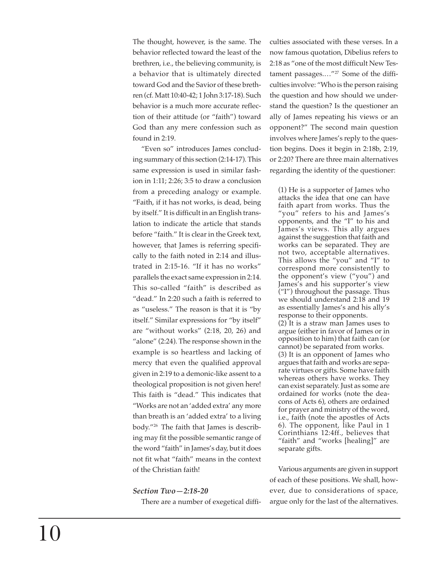The thought, however, is the same. The behavior reflected toward the least of the brethren, i.e., the believing community, is a behavior that is ultimately directed toward God and the Savior of these breth ren (cf. Matt 10:40-42; 1 John 3:17-18). Such behavior is a much more accurate reflection of their attitude (or "faith") toward God than any mere confession such as found in 2:19.

"Even so" introduces James concluding summary of this section (2:14-17). This same expression is used in similar fashion in 1:11; 2:26; 3:5 to draw a conclusion from a preceding analogy or example. "Faith, if it has not works, is dead, being by itself." It is difficult in an English translation to indicate the article that stands before "faith." It is clear in the Greek text, however, that James is referring specifically to the faith noted in 2:14 and illustrated in 2:15-16. "If it has no works" parallels the exact same expression in 2:14. This so-called "faith" is described as "dead." In 2:20 such a faith is referred to as "useless." The reason is that it is "by itself." Similar expressions for "by itself" are "without works" (2:18, 20, 26) and "alone" (2:24). The response shown in the example is so heartless and lacking of mercy that even the qualified approval given in 2:19 to a demonic-like assent to a theological proposition is not given here! This faith is "dead." This indicates that "Works are not an 'added extra' any more than breath is an 'added extra' to a living body."26 The faith that James is describing may fit the possible semantic range of the word "faith" in James's day, but it does not fit what "faith" means in the context of the Christian faith!

## *Section Two—2:18-20*

There are a number of exegetical diffi-

culties associated with these verses. In a now famous quotation, Dibelius refers to 2:18 as "one of the most difficult New Testament passages.…"27 Some of the difficulties involve: "Who is the person raising the question and how should we understand the question? Is the questioner an ally of James repeating his views or an opponent?" The second main question involves where James's reply to the question begins. Does it begin in 2:18b, 2:19, or 2:20? There are three main alternatives regarding the identity of the questioner:

(1) He is a supporter of James who attacks the idea that one can have faith apart from works. Thus the "you" refers to his and James's opponents, and the "I" to his and James's views. This ally argues against the suggestion that faith and works can be separated. They are not two, acceptable alternatives. This allows the "you" and "I" to correspond more consistently to the opponent's view ("you") and James's and his supporter's view ("I") throughout the passage. Thus we should understand 2:18 and 19 as essentially James's and his ally's response to their opponents. (2) It is a straw man James uses to argue (either in favor of James or in opposition to him) that faith can (or cannot) be separated from works. (3) It is an opponent of James who argues that faith and works are separate virtues or gifts. Some have faith whereas others have works. They can exist separately. Just as some are ordained for works (note the deacons of Acts 6), others are ordained for prayer and ministry of the word, i.e., faith (note the apostles of Acts 6). The opponent, like Paul in 1 Corinthians 12:4ff., believes that "faith" and "works [healing]" are separate gifts.

Various arguments are given in support of each of these positions. We shall, however, due to considerations of space, argue only for the last of the alternatives.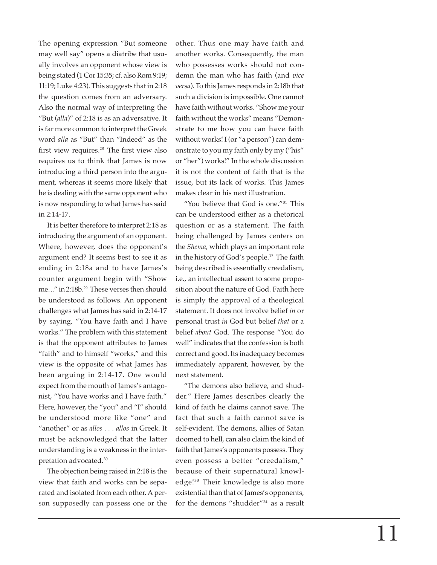The opening expression "But someone may well say" opens a diatribe that usually involves an opponent whose view is being stated (1 Cor 15:35; cf. also Rom 9:19; 11:19; Luke 4:23). This suggests that in 2:18 the question comes from an adversary. Also the normal way of interpreting the "But (*alla*)" of 2:18 is as an adversative. It is far more common to interpret the Greek word *alla* as "But" than "Indeed" as the first view requires.28 The first view also requires us to think that James is now introducing a third person into the argument, whereas it seems more likely that he is dealing with the same opponent who is now responding to what James has said in 2:14-17.

It is better therefore to interpret 2:18 as introducing the argument of an opponent. Where, however, does the opponent's argument end? It seems best to see it as ending in 2:18a and to have James's counter argument begin with "Show me…" in 2:18b.29 These verses then should be understood as follows. An opponent challenges what James has said in 2:14-17 by saying, "You have faith and I have works." The problem with this statement is that the opponent attributes to James "faith" and to himself "works," and this view is the opposite of what James has been arguing in 2:14-17. One would expect from the mouth of James's antagonist, "You have works and I have faith." Here, however, the "you" and "I" should be understood more like "one" and "another" or as *allos . . . allos* in Greek. It must be acknowledged that the latter understanding is a weakness in the interpretation advocated.30

The objection being raised in 2:18 is the view that faith and works can be separated and isolated from each other. A person supposedly can possess one or the other. Thus one may have faith and another works. Consequently, the man who possesses works should not condemn the man who has faith (and *vice versa*). To this James responds in 2:18b that such a division is impossible. One cannot have faith without works. "Show me your faith without the works" means "Demonstrate to me how you can have faith without works! I (or "a person") can demonstrate to you my faith only by my ("his" or "her") works!" In the whole discussion it is not the content of faith that is the issue, but its lack of works. This James makes clear in his next illustration.

"You believe that God is one."31 This can be understood either as a rhetorical question or as a statement. The faith being challenged by James centers on the *Shema*, which plays an important role in the history of God's people.32 The faith being described is essentially creedalism, i.e., an intellectual assent to some proposition about the nature of God. Faith here is simply the approval of a theological statement. It does not involve belief *in* or personal trust *in* God but belief *that* or a belief *about* God. The response "You do well" indicates that the confession is both correct and good. Its inadequacy becomes immediately apparent, however, by the next statement.

"The demons also believe, and shudder." Here James describes clearly the kind of faith he claims cannot save. The fact that such a faith cannot save is self-evident. The demons, allies of Satan doomed to hell, can also claim the kind of faith that James's opponents possess. They even possess a better "creedalism," because of their supernatural knowledge!33 Their knowledge is also more existential than that of James's opponents, for the demons "shudder"34 as a result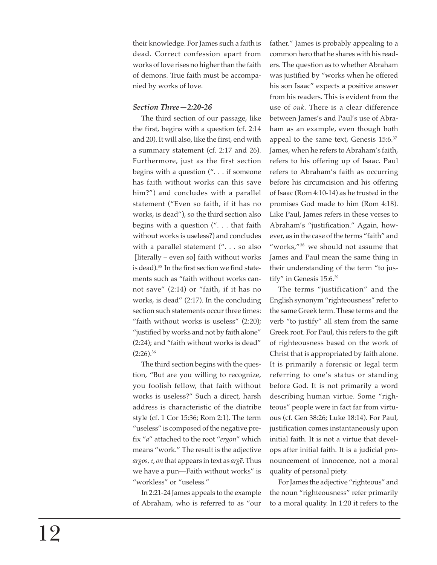their knowledge. For James such a faith is dead. Correct confession apart from works of love rises no higher than the faith of demons. True faith must be accompanied by works of love.

# *Section Three—2:20-26*

The third section of our passage, like the first, begins with a question (cf. 2:14 and 20). It will also, like the first, end with a summary statement (cf. 2:17 and 26). Furthermore, just as the first section begins with a question (". . . if someone has faith without works can this save him?") and concludes with a parallel statement ("Even so faith, if it has no works, is dead"), so the third section also begins with a question (". . . that faith without works is useless?) and concludes with a parallel statement (". . . so also [literally – even so] faith without works is dead).35 In the first section we find statements such as "faith without works cannot save" (2:14) or "faith, if it has no works, is dead" (2:17). In the concluding section such statements occur three times: "faith without works is useless" (2:20); "justified by works and not by faith alone" (2:24); and "faith without works is dead"  $(2:26).^{36}$ 

The third section begins with the question, "But are you willing to recognize, you foolish fellow, that faith without works is useless?" Such a direct, harsh address is characteristic of the diatribe style (cf. 1 Cor 15:36; Rom 2:1). The term "useless" is composed of the negative prefix "*a*" attached to the root "*ergon*" which means "work." The result is the adjective *argos, e, on* that appears in text as *arge*. Thus we have a pun—Faith without works" is "workless" or "useless."

In 2:21-24 James appeals to the example of Abraham, who is referred to as "our father." James is probably appealing to a common hero that he shares with his readers. The question as to whether Abraham was justified by "works when he offered his son Isaac" expects a positive answer from his readers. This is evident from the use of *ouk*. There is a clear difference between James's and Paul's use of Abraham as an example, even though both appeal to the same text, Genesis 15:6.<sup>37</sup> James, when he refers to Abraham's faith, refers to his offering up of Isaac. Paul refers to Abraham's faith as occurring before his circumcision and his offering of Isaac (Rom 4:10-14) as he trusted in the promises God made to him (Rom 4:18). Like Paul, James refers in these verses to Abraham's "justification." Again, however, as in the case of the terms "faith" and "works,"38 we should not assume that James and Paul mean the same thing in their understanding of the term "to justify" in Genesis 15:6.39

The terms "justification" and the English synonym "righteousness" refer to the same Greek term. These terms and the verb "to justify" all stem from the same Greek root. For Paul, this refers to the gift of righteousness based on the work of Christ that is appropriated by faith alone. It is primarily a forensic or legal term referring to one's status or standing before God. It is not primarily a word describing human virtue. Some "righteous" people were in fact far from virtuous (cf. Gen 38:26; Luke 18:14). For Paul, justification comes instantaneously upon initial faith. It is not a virtue that develops after initial faith. It is a judicial pronouncement of innocence, not a moral quality of personal piety.

For James the adjective "righteous" and the noun "righteousness" refer primarily to a moral quality. In 1:20 it refers to the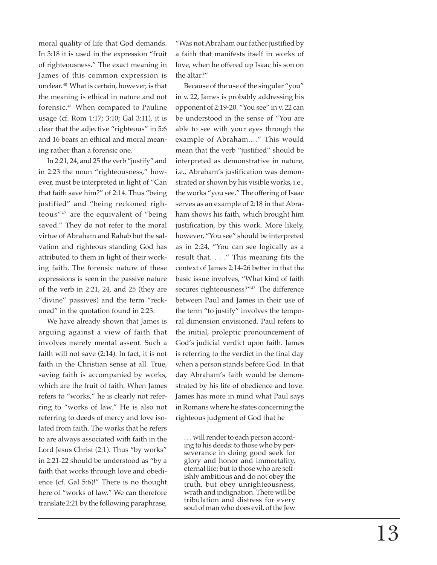moral quality of life that God demands. In 3:18 it is used in the expression "fruit of righteousness." The exact meaning in James of this common expression is unclear. <sup>40</sup> What is certain, however, is that the meaning is ethical in nature and not forensic.41 When compared to Pauline usage (cf. Rom 1:17; 3:10; Gal 3:11), it is clear that the adjective "righteous" in 5:6 and 16 bears an ethical and moral meaning rather than a forensic one.

In 2:21, 24, and 25 the verb "justify" and in 2:23 the noun "righteousness," however, must be interpreted in light of "Can that faith save him?" of 2:14. Thus "being justified" and "being reckoned righteous"42 are the equivalent of "being saved." They do not refer to the moral virtue of Abraham and Rahab but the salvation and righteous standing God has attributed to them in light of their working faith. The forensic nature of these expressions is seen in the passive nature of the verb in 2:21, 24, and 25 (they are "divine" passives) and the term "reckoned" in the quotation found in 2:23.

We have already shown that James is arguing against a view of faith that involves merely mental assent. Such a faith will not save (2:14). In fact, it is not faith in the Christian sense at all. True, saving faith is accompanied by works, which are the fruit of faith. When James refers to "works," he is clearly not referring to "works of law." He is also not referring to deeds of mercy and love isolated from faith. The works that he refers to are always associated with faith in the Lord Jesus Christ (2:1). Thus "by works" in 2:21-22 should be understood as "by a faith that works through love and obedience (cf. Gal 5:6)!" There is no thought here of "works of law." We can therefore translate 2:21 by the following paraphrase,

"Was not Abraham our father justified by a faith that manifests itself in works of love, when he offered up Isaac his son on the altar?"

Because of the use of the singular "you" in v. 22, James is probably addressing his opponent of 2:19-20. "You see" in v. 22 can be understood in the sense of "You are able to see with your eyes through the example of Abraham.…" This would mean that the verb "justified" should be interpreted as demonstrative in nature, i.e., Abraham's justification was demonstrated or shown by his visible works, i.e., the works "you see." The offering of Isaac serves as an example of 2:18 in that Abraham shows his faith, which brought him justification, by this work. More likely, however, "You see" should be interpreted as in 2:24, "You can see logically as a result that. . . ." This meaning fits the context of James 2:14-26 better in that the basic issue involves, "What kind of faith secures righteousness?"<sup>43</sup> The difference between Paul and James in their use of the term "to justify" involves the temporal dimension envisioned. Paul refers to the initial, proleptic pronouncement of God's judicial verdict upon faith. James is referring to the verdict in the final day when a person stands before God. In that day Abraham's faith would be demonstrated by his life of obedience and love. James has more in mind what Paul says in Romans where he states concerning the righteous judgment of God that he

. . . will render to each person according to his deeds: to those who by perseverance in doing good seek for glory and honor and immortality, eternal life; but to those who are selfishly ambitious and do not obey the truth, but obey unrighteousness, wrath and indignation. There will be tribulation and distress for every soul of man who does evil, of the Jew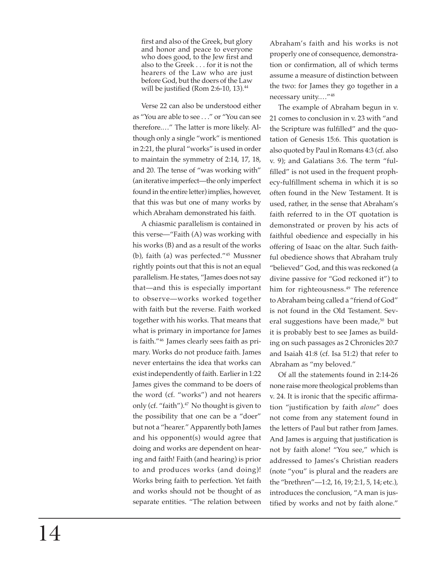first and also of the Greek, but glory and honor and peace to everyone who does good, to the Jew first and also to the Greek . . . for it is not the hearers of the Law who are just before God, but the doers of the Law will be justified (Rom 2:6-10, 13). $44$ 

Verse 22 can also be understood either as "You are able to see . . ." or "You can see therefore.…" The latter is more likely. Although only a single "work" is mentioned in 2:21, the plural "works" is used in order to maintain the symmetry of 2:14, 17, 18, and 20. The tense of "was working with" (an iterative imperfect—the only imperfect found in the entire letter) implies, however, that this was but one of many works by which Abraham demonstrated his faith.

A chiasmic parallelism is contained in this verse—"Faith (A) was working with his works (B) and as a result of the works (b), faith (a) was perfected."45 Mussner rightly points out that this is not an equal parallelism. He states, "James does not say that—and this is especially important to observe—works worked together with faith but the reverse. Faith worked together with his works. That means that what is primary in importance for James is faith."46 James clearly sees faith as primary. Works do not produce faith. James never entertains the idea that works can exist independently of faith. Earlier in 1:22 James gives the command to be doers of the word (cf. "works") and not hearers only (cf. "faith").<sup>47</sup> No thought is given to the possibility that one can be a "doer" but not a "hearer." Apparently both James and his opponent(s) would agree that doing and works are dependent on hearing and faith! Faith (and hearing) is prior to and produces works (and doing)! Works bring faith to perfection. Yet faith and works should not be thought of as separate entities. "The relation between

Abraham's faith and his works is not properly one of consequence, demonstration or confirmation, all of which terms assume a measure of distinction between the two: for James they go together in a necessary unity.…"48

The example of Abraham begun in v. 21 comes to conclusion in v. 23 with "and the Scripture was fulfilled" and the quotation of Genesis 15:6. This quotation is also quoted by Paul in Romans 4:3 (cf. also v. 9); and Galatians 3:6. The term "fulfilled" is not used in the frequent prophecy-fulfillment schema in which it is so often found in the New Testament. It is used, rather, in the sense that Abraham's faith referred to in the OT quotation is demonstrated or proven by his acts of faithful obedience and especially in his offering of Isaac on the altar. Such faithful obedience shows that Abraham truly "believed" God, and this was reckoned (a divine passive for "God reckoned it") to him for righteousness.<sup>49</sup> The reference to Abraham being called a "friend of God" is not found in the Old Testament. Several suggestions have been made,<sup>50</sup> but it is probably best to see James as building on such passages as 2 Chronicles 20:7 and Isaiah 41:8 (cf. Isa 51:2) that refer to Abraham as "my beloved."

Of all the statements found in 2:14-26 none raise more theological problems than v. 24. It is ironic that the specific affirmation "justification by faith *alone*" does not come from any statement found in the letters of Paul but rather from James. And James is arguing that justification is not by faith alone! "You see," which is addressed to James's Christian readers (note "you" is plural and the readers are the "brethren"—1:2, 16, 19; 2:1, 5, 14; etc.), introduces the conclusion, "A man is justified by works and not by faith alone."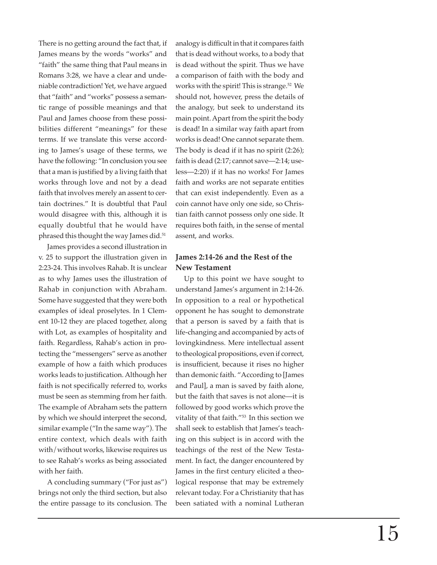There is no getting around the fact that, if James means by the words "works" and "faith" the same thing that Paul means in Romans 3:28, we have a clear and undeniable contradiction! Yet, we have argued that "faith" and "works" possess a semantic range of possible meanings and that Paul and James choose from these possibilities different "meanings" for these terms. If we translate this verse according to James's usage of these terms, we have the following: "In conclusion you see that a man is justified by a living faith that works through love and not by a dead faith that involves merely an assent to certain doctrines." It is doubtful that Paul would disagree with this, although it is equally doubtful that he would have phrased this thought the way James did.<sup>51</sup>

James provides a second illustration in v. 25 to support the illustration given in 2:23-24. This involves Rahab. It is unclear as to why James uses the illustration of Rahab in conjunction with Abraham. Some have suggested that they were both examples of ideal proselytes. In 1 Clement 10-12 they are placed together, along with Lot, as examples of hospitality and faith. Regardless, Rahab's action in protecting the "messengers" serve as another example of how a faith which produces works leads to justification. Although her faith is not specifically referred to, works must be seen as stemming from her faith. The example of Abraham sets the pattern by which we should interpret the second, similar example ("In the same way"). The entire context, which deals with faith with/without works, likewise requires us to see Rahab's works as being associated with her faith.

A concluding summary ("For just as") brings not only the third section, but also the entire passage to its conclusion. The

analogy is difficult in that it compares faith that is dead without works, to a body that is dead without the spirit. Thus we have a comparison of faith with the body and works with the spirit! This is strange.<sup>52</sup> We should not, however, press the details of the analogy, but seek to understand its main point. Apart from the spirit the body is dead! In a similar way faith apart from works is dead! One cannot separate them. The body is dead if it has no spirit (2:26); faith is dead (2:17; cannot save—2:14; useless—2:20) if it has no works! For James faith and works are not separate entities that can exist independently. Even as a coin cannot have only one side, so Christian faith cannot possess only one side. It requires both faith, in the sense of mental assent, and works.

# **James 2:14-26 and the Rest of the New Testament**

Up to this point we have sought to understand James's argument in 2:14-26. In opposition to a real or hypothetical opponent he has sought to demonstrate that a person is saved by a faith that is life-changing and accompanied by acts of lovingkindness. Mere intellectual assent to theological propositions, even if correct, is insufficient, because it rises no higher than demonic faith. "According to [James and Paul], a man is saved by faith alone, but the faith that saves is not alone—it is followed by good works which prove the vitality of that faith."53 In this section we shall seek to establish that James's teaching on this subject is in accord with the teachings of the rest of the New Testament. In fact, the danger encountered by James in the first century elicited a theological response that may be extremely relevant today. For a Christianity that has been satiated with a nominal Lutheran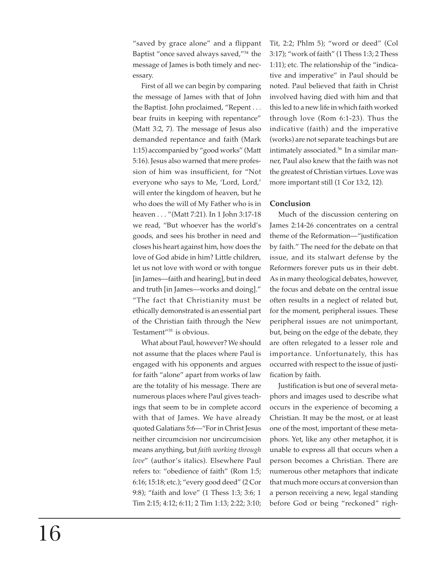"saved by grace alone" and a flippant Baptist "once saved always saved,"54 the message of James is both timely and necessary.

First of all we can begin by comparing the message of James with that of John the Baptist. John proclaimed, "Repent . . . bear fruits in keeping with repentance" (Matt 3:2, 7). The message of Jesus also demanded repentance and faith (Mark 1:15) accompanied by "good works" (Matt 5:16). Jesus also warned that mere profession of him was insufficient, for "Not everyone who says to Me, 'Lord, Lord,' will enter the kingdom of heaven, but he who does the will of My Father who is in heaven . . . "(Matt 7:21). In 1 John 3:17-18 we read, "But whoever has the world's goods, and sees his brother in need and closes his heart against him, how does the love of God abide in him? Little children, let us not love with word or with tongue [in James—faith and hearing], but in deed and truth [in James—works and doing]." "The fact that Christianity must be ethically demonstrated is an essential part of the Christian faith through the New Testament"55 is obvious.

What about Paul, however? We should not assume that the places where Paul is engaged with his opponents and argues for faith "alone" apart from works of law are the totality of his message. There are numerous places where Paul gives teachings that seem to be in complete accord with that of James. We have already quoted Galatians 5:6—"For in Christ Jesus neither circumcision nor uncircumcision means anything, but *faith working through love*" (author's italics). Elsewhere Paul refers to: "obedience of faith" (Rom 1:5; 6:16; 15:18; etc.); "every good deed" (2 Cor 9:8); "faith and love" (1 Thess 1:3; 3:6; 1 Tim 2:15; 4:12; 6:11; 2 Tim 1:13; 2:22; 3:10; Tit, 2:2; Phlm 5); "word or deed" (Col 3:17); "work of faith" (1 Thess 1:3; 2 Thess 1:11); etc. The relationship of the "indicative and imperative" in Paul should be noted. Paul believed that faith in Christ involved having died with him and that this led to a new life in which faith worked through love (Rom 6:1-23). Thus the indicative (faith) and the imperative (works) are not separate teachings but are intimately associated.<sup>56</sup> In a similar manner, Paul also knew that the faith was not the greatest of Christian virtues. Love was more important still (1 Cor 13:2, 12).

# **Conclusion**

Much of the discussion centering on James 2:14-26 concentrates on a central theme of the Reformation—"justification by faith." The need for the debate on that issue, and its stalwart defense by the Reformers forever puts us in their debt. As in many theological debates, however, the focus and debate on the central issue often results in a neglect of related but, for the moment, peripheral issues. These peripheral issues are not unimportant, but, being on the edge of the debate, they are often relegated to a lesser role and importance. Unfortunately, this has occurred with respect to the issue of justification by faith.

Justification is but one of several metaphors and images used to describe what occurs in the experience of becoming a Christian. It may be the most, or at least one of the most, important of these metaphors. Yet, like any other metaphor, it is unable to express all that occurs when a person becomes a Christian. There are numerous other metaphors that indicate that much more occurs at conversion than a person receiving a new, legal standing before God or being "reckoned" righ-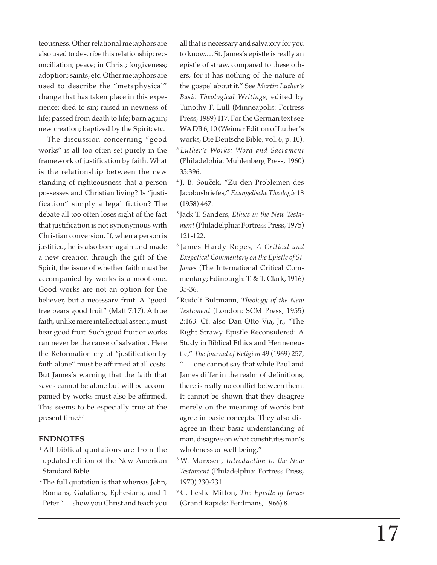teousness. Other relational metaphors are also used to describe this relationship: reconciliation; peace; in Christ; forgiveness; adoption; saints; etc. Other metaphors are used to describe the "metaphysical" change that has taken place in this experience: died to sin; raised in newness of life; passed from death to life; born again; new creation; baptized by the Spirit; etc.

The discussion concerning "good works" is all too often set purely in the framework of justification by faith. What is the relationship between the new standing of righteousness that a person possesses and Christian living? Is "justification" simply a legal fiction? The debate all too often loses sight of the fact that justification is not synonymous with Christian conversion. If, when a person is justified, he is also born again and made a new creation through the gift of the Spirit, the issue of whether faith must be accompanied by works is a moot one. Good works are not an option for the believer, but a necessary fruit. A "good tree bears good fruit" (Matt 7:17). A true faith, unlike mere intellectual assent, must bear good fruit. Such good fruit or works can never be the cause of salvation. Here the Reformation cry of "justification by faith alone" must be affirmed at all costs. But James's warning that the faith that saves cannot be alone but will be accompanied by works must also be affirmed. This seems to be especially true at the present time.57

## **ENDNOTES**

- <sup>1</sup> All biblical quotations are from the updated edition of the New American Standard Bible.
- <sup>2</sup> The full quotation is that whereas John, Romans, Galatians, Ephesians, and 1 Peter ". . . show you Christ and teach you

all that is necessary and salvatory for you to know.…St. James's epistle is really an epistle of straw, compared to these others, for it has nothing of the nature of the gospel about it." See *Martin Luther's Basic Theological Writings*, edited by Timothy F. Lull (Minneapolis: Fortress Press, 1989) 117. For the German text see WADB 6, 10 (Weimar Edition of Luther's works, Die Deutsche Bible, vol. 6, p. 10).

- <sup>3</sup>*Luther's Works: Word and Sacrament* (Philadelphia: Muhlenberg Press, 1960) 35:396.
- 4 J. B. Soucek, "Zu den Problemen des **ˆ**Jacobusbriefes," *Evangelische Theologie* 18 (1958) 467.
- 5 Jack T. Sanders, *Ethics in the New Testament* (Philadelphia: Fortress Press, 1975) 121-122.
- 6 James Hardy Ropes, *A Critical and Exegetical Commentary on the Epistle of St. James* (The International Critical Commentary; Edinburgh: T. & T. Clark, 1916) 35-36.
- 7 Rudolf Bultmann, *Theology of the New Testament* (London: SCM Press, 1955) 2:163. Cf. also Dan Otto Via, Jr., "The Right Strawy Epistle Reconsidered: A Study in Biblical Ethics and Hermeneutic," *The Journal of Religion* 49 (1969) 257, ". . . one cannot say that while Paul and James differ in the realm of definitions, there is really no conflict between them. It cannot be shown that they disagree merely on the meaning of words but agree in basic concepts. They also disagree in their basic understanding of man, disagree on what constitutes man's wholeness or well-being."
- 8 W. Marxsen, *Introduction to the New Testament* (Philadelphia: Fortress Press, 1970) 230-231.
- 9 C. Leslie Mitton, *The Epistle of James* (Grand Rapids: Eerdmans, 1966) 8.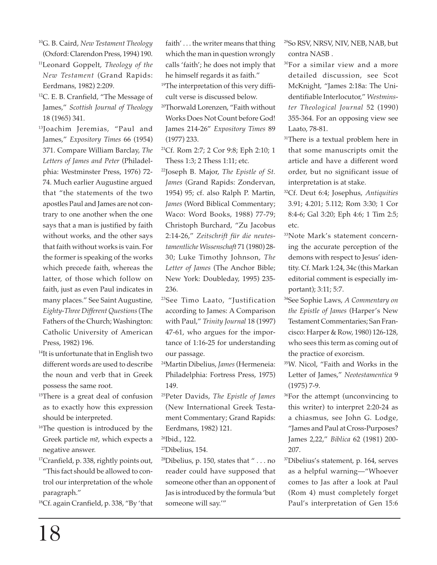- 10G. B. Caird, *New Testament Theology* (Oxford: Clarendon Press, 1994) 190.
- 11Leonard Goppelt, *Theology of the New Testament* (Grand Rapids: Eerdmans, 1982) 2:209.
- 12C. E. B. Cranfield, "The Message of James," *Scottish Journal of Theology* 18 (1965) 341.
- <sup>13</sup>Joachim Jeremias, "Paul and James," *Expository Times* 66 (1954) 371. Compare William Barclay, *The Letters of James and Peter* (Philadelphia: Westminster Press, 1976) 72- 74. Much earlier Augustine argued that "the statements of the two apostles Paul and James are not contrary to one another when the one says that a man is justified by faith without works, and the other says that faith without works is vain. For the former is speaking of the works which precede faith, whereas the latter, of those which follow on faith, just as even Paul indicates in many places." See Saint Augustine, *Eighty-Three Different Questions*(The Fathers of the Church; Washington: Catholic University of American Press, 1982) 196.
- <sup>14</sup>It is unfortunate that in English two different words are used to describe the noun and verb that in Greek possess the same root.
- <sup>15</sup>There is a great deal of confusion as to exactly how this expression should be interpreted.
- <sup>16</sup>The question is introduced by the Greek particle *me*, which expects a negative answer.
- $17$ Cranfield, p. 338, rightly points out, "This fact should be allowed to control our interpretation of the whole paragraph."
- 18Cf. again Cranfield, p. 338, "By 'that

faith' . . . the writer means that thing which the man in question wrongly calls 'faith'; he does not imply that he himself regards it as faith."

- <sup>19</sup>The interpretation of this very difficult verse is discussed below.
- 20Thorwald Lorenzen, "Faith without Works Does Not Count before God! James 214-26" *Expository Times* 89 (1977) 233.
- 21Cf. Rom 2:7; 2 Cor 9:8; Eph 2:10; 1 Thess 1:3; 2 Thess 1:11; etc.
- 22Joseph B. Major, *The Epistle of St. James* (Grand Rapids: Zondervan, 1954) 95; cf. also Ralph P. Martin, *James* (Word Biblical Commentary; Waco: Word Books, 1988) 77-79; Christoph Burchard, "Zu Jacobus 2:14-26," *Zeitschrift für die neutestamentliche Wissenschaft* 71 (1980) 28- 30; Luke Timothy Johnson, *The Letter of James* (The Anchor Bible; New York: Doubleday, 1995) 235- 236.
- 23See Timo Laato, "Justification according to James: A Comparison with Paul," *Trinity Journal* 18 (1997) 47-61, who argues for the importance of 1:16-25 for understanding our passage.
- 24Martin Dibelius, *James* (Hermeneia: Philadelphia: Fortress Press, 1975) 149.
- 25Peter Davids, *The Epistle of James* (New International Greek Testament Commentary; Grand Rapids: Eerdmans, 1982) 121.
- <sup>26</sup>Ibid., 122.
- 27Dibelius, 154.
- <sup>28</sup>Dibelius, p. 150, states that " $\dots$  no reader could have supposed that someone other than an opponent of Jas is introduced by the formula 'but someone will say.'"
- 29So RSV, NRSV, NIV, NEB, NAB, but contra NASB .
- 30For a similar view and a more detailed discussion, see Scot McKnight, "James 2:18a: The Unidentifiable Interlocutor," *Westminster Theological Journal* 52 (1990) 355-364. For an opposing view see Laato, 78-81.
- <sup>31</sup>There is a textual problem here in that some manuscripts omit the article and have a different word order, but no significant issue of interpretation is at stake.
- 32Cf. Deut 6:4; Josephus, *Antiquities* 3.91; 4.201; 5.112; Rom 3:30; 1 Cor 8:4-6; Gal 3:20; Eph 4:6; 1 Tim 2:5; etc.
- 33Note Mark's statement concerning the accurate perception of the demons with respect to Jesus' identity. Cf. Mark 1:24, 34c (this Markan editorial comment is especially important); 3:11; 5:7.
- 34See Sophie Laws, *A Commentary on the Epistle of James* (Harper's New Testament Commentaries; San Francisco: Harper & Row, 1980) 126-128, who sees this term as coming out of the practice of exorcism.
- 35W. Nicol, "Faith and Works in the Letter of James," *Neotestamentica* 9 (1975) 7-9.
- <sup>36</sup>For the attempt (unconvincing to this writer) to interpret 2:20-24 as a chiasmus, see John G. Lodge, "James and Paul at Cross-Purposes? James 2,22," *Biblica* 62 (1981) 200- 207.
- 37Dibelius's statement, p. 164, serves as a helpful warning—"Whoever comes to Jas after a look at Paul (Rom 4) must completely forget Paul's interpretation of Gen 15:6